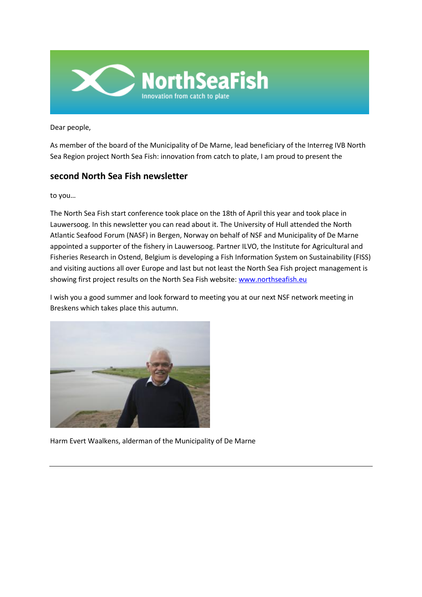

Dear people,

As member of the board of the Municipality of De Marne, lead beneficiary of the Interreg IVB North Sea Region project North Sea Fish: innovation from catch to plate, I am proud to present the

# **second North Sea Fish newsletter**

to you…

The North Sea Fish start conference took place on the 18th of April this year and took place in Lauwersoog. In this newsletter you can read about it. The University of Hull attended the North Atlantic Seafood Forum (NASF) in Bergen, Norway on behalf of NSF and Municipality of De Marne appointed a supporter of the fishery in Lauwersoog. Partner ILVO, the Institute for Agricultural and Fisheries Research in Ostend, Belgium is developing a Fish Information System on Sustainability (FISS) and visiting auctions all over Europe and last but not least the North Sea Fish project management is showing first project results on the North Sea Fish website[: www.northseafish.eu](http://www.northseafish.eu/)

I wish you a good summer and look forward to meeting you at our next NSF network meeting in Breskens which takes place this autumn.



Harm Evert Waalkens, alderman of the Municipality of De Marne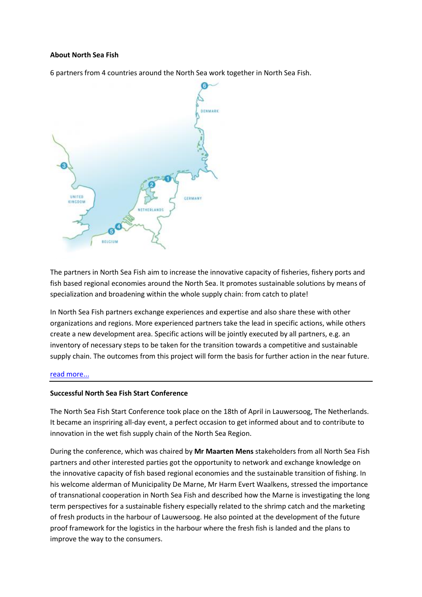## **About North Sea Fish**

6 partners from 4 countries around the North Sea work together in North Sea Fish.



The partners in North Sea Fish aim to increase the innovative capacity of fisheries, fishery ports and fish based regional economies around the North Sea. It promotes sustainable solutions by means of specialization and broadening within the whole supply chain: from catch to plate!

In North Sea Fish partners exchange experiences and expertise and also share these with other organizations and regions. More experienced partners take the lead in specific actions, while others create a new development area. Specific actions will be jointly executed by all partners, e.g. an inventory of necessary steps to be taken for the transition towards a competitive and sustainable supply chain. The outcomes from this project will form the basis for further action in the near future.

## [read more...](linktopage:5)

## **Successful North Sea Fish Start Conference**

The North Sea Fish Start Conference took place on the 18th of April in Lauwersoog, The Netherlands. It became an inspriring all-day event, a perfect occasion to get informed about and to contribute to innovation in the wet fish supply chain of the North Sea Region.

During the conference, which was chaired by **Mr Maarten Mens** stakeholders from all North Sea Fish partners and other interested parties got the opportunity to network and exchange knowledge on the innovative capacity of fish based regional economies and the sustainable transition of fishing. In his welcome alderman of Municipality De Marne, Mr Harm Evert Waalkens, stressed the importance of transnational cooperation in North Sea Fish and described how the Marne is investigating the long term perspectives for a sustainable fishery especially related to the shrimp catch and the marketing of fresh products in the harbour of Lauwersoog. He also pointed at the development of the future proof framework for the logistics in the harbour where the fresh fish is landed and the plans to improve the way to the consumers.